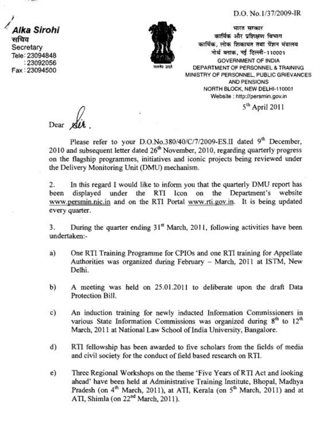## D.O. No.1/37/2009-lR

**।**<br>/<br>Alka Sirohi<br><sup>सचिव</sup> **Secretary Tele: 23094848**  : **23092056 Fax:23094500** 



भारत सरकार कार्मिक और प्रशिक्षण विभाग कार्मिक, लोक शिकायत तथा पेंशन मंत्रालय +%f **am, T\$ m-110001 GOVERNMENT OF INDIA DEPARTMENT OF PERSONNEL** *8* **TRAINING MINISTRY OF PERSONNEL, PUBLIC GRIEVANCES AND PENSIONS NORTH BLOCK, NEW DELHI-110001 Website** : **http://persmin.gov.in** 

 $5<sup>th</sup>$  April 2011

Dear

Please refer to your D.O.No.380/40/C/7/2009-ES.II dated 9<sup>th</sup> December, 2010 and subsequent letter dated 26<sup>th</sup> November, 2010, regarding quarterly progress on the flagship programmes, initiatives and iconic projects being reviewed under the Delivery Monitoring Unit (DMU) mechanism.

2. In this regard I would like to inform you that the quarterly DMU report has been displayed under the RTI Icon on the Department's website www.persmin.nic.in and on the RTI Portal www.rti.gov.in. It is being updated every quarter.

**3.** During the quarter ending  $31<sup>st</sup>$  March, 2011, following activities have been undertaken:-

- a) One RTI Training Programme for CPIOs and one RTI training for Appellate Authorities was organized during February - March, 2011 at ISTM, New Delhi.
- b) A meeting was held on 25.01.2011 to deliberate upon the draft Data Protection Bill.
- c) An induction training for newly inducted Information Commissioners in various State Information Commissions was organized during  $8<sup>th</sup>$  to  $12<sup>th</sup>$ March, 2011 at National Law School of India University, Bangalore.
- d) RTI fellowship has been awarded to five scholars from the fields of media and civil society for the conduct of field based research on RTI.
- e) Three Regional Workshops on the theme 'Five Years of RTI Act and looking ahead' have been held at Administrative Training Institute, Bhopal, Madhya Pradesh (on 4<sup>th</sup> March, 2011), at ATI, Kerala (on 5<sup>th</sup> March, 2011) and at ATI, Shimla (on 22<sup>nd</sup> March, 2011).